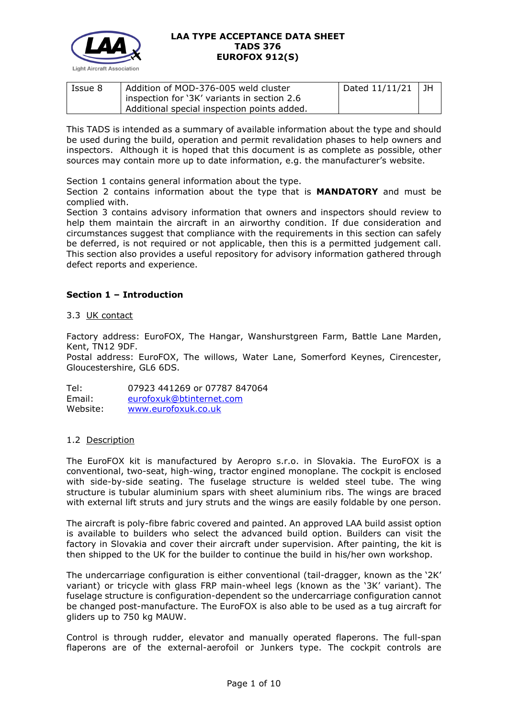

| Issue 8 | Addition of MOD-376-005 weld cluster        | Dated $11/11/21$ | l JH |
|---------|---------------------------------------------|------------------|------|
|         | inspection for '3K' variants in section 2.6 |                  |      |
|         | Additional special inspection points added. |                  |      |

This TADS is intended as a summary of available information about the type and should be used during the build, operation and permit revalidation phases to help owners and inspectors. Although it is hoped that this document is as complete as possible, other sources may contain more up to date information, e.g. the manufacturer's website.

Section 1 contains general information about the type.

Section 2 contains information about the type that is **MANDATORY** and must be complied with.

Section 3 contains advisory information that owners and inspectors should review to help them maintain the aircraft in an airworthy condition. If due consideration and circumstances suggest that compliance with the requirements in this section can safely be deferred, is not required or not applicable, then this is a permitted judgement call. This section also provides a useful repository for advisory information gathered through defect reports and experience.

## **Section 1 – Introduction**

### 3.3 UK contact

Factory address: EuroFOX, The Hangar, Wanshurstgreen Farm, Battle Lane Marden, Kent, TN12 9DF.

Postal address: EuroFOX, The willows, Water Lane, Somerford Keynes, Cirencester, Gloucestershire, GL6 6DS.

Tel: 07923 441269 or 07787 847064 Email: [eurofoxuk@btinternet.com](mailto:eurofoxuk@btinternet.com) Website: [www.eurofoxuk.co.uk](http://www.eurofoxuk.co.uk/)

### 1.2 Description

The EuroFOX kit is manufactured by Aeropro s.r.o. in Slovakia. The EuroFOX is a conventional, two-seat, high-wing, tractor engined monoplane. The cockpit is enclosed with side-by-side seating. The fuselage structure is welded steel tube. The wing structure is tubular aluminium spars with sheet aluminium ribs. The wings are braced with external lift struts and jury struts and the wings are easily foldable by one person.

The aircraft is poly-fibre fabric covered and painted. An approved LAA build assist option is available to builders who select the advanced build option. Builders can visit the factory in Slovakia and cover their aircraft under supervision. After painting, the kit is then shipped to the UK for the builder to continue the build in his/her own workshop.

The undercarriage configuration is either conventional (tail-dragger, known as the '2K' variant) or tricycle with glass FRP main-wheel legs (known as the '3K' variant). The fuselage structure is configuration-dependent so the undercarriage configuration cannot be changed post-manufacture. The EuroFOX is also able to be used as a tug aircraft for gliders up to 750 kg MAUW.

Control is through rudder, elevator and manually operated flaperons. The full-span flaperons are of the external-aerofoil or Junkers type. The cockpit controls are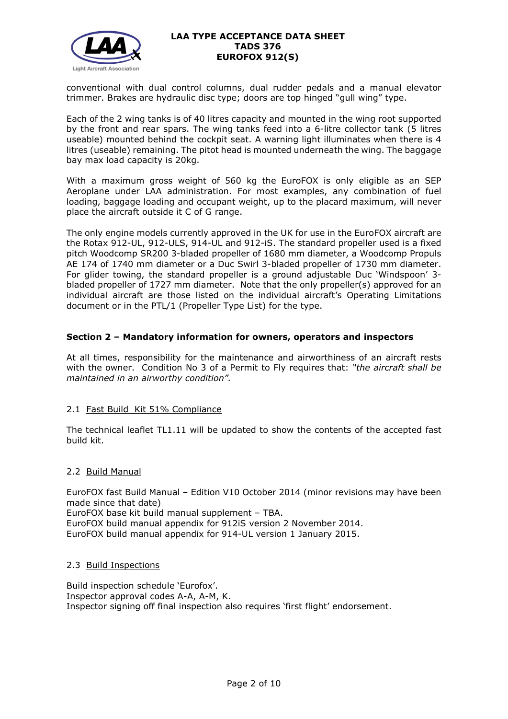

conventional with dual control columns, dual rudder pedals and a manual elevator trimmer. Brakes are hydraulic disc type; doors are top hinged "gull wing" type.

Each of the 2 wing tanks is of 40 litres capacity and mounted in the wing root supported by the front and rear spars. The wing tanks feed into a 6-litre collector tank (5 litres useable) mounted behind the cockpit seat. A warning light illuminates when there is 4 litres (useable) remaining. The pitot head is mounted underneath the wing. The baggage bay max load capacity is 20kg.

With a maximum gross weight of 560 kg the EuroFOX is only eligible as an SEP Aeroplane under LAA administration. For most examples, any combination of fuel loading, baggage loading and occupant weight, up to the placard maximum, will never place the aircraft outside it C of G range.

The only engine models currently approved in the UK for use in the EuroFOX aircraft are the Rotax 912-UL, 912-ULS, 914-UL and 912-iS. The standard propeller used is a fixed pitch Woodcomp SR200 3-bladed propeller of 1680 mm diameter, a Woodcomp Propuls AE 174 of 1740 mm diameter or a Duc Swirl 3-bladed propeller of 1730 mm diameter. For glider towing, the standard propeller is a ground adjustable Duc 'Windspoon' 3 bladed propeller of 1727 mm diameter. Note that the only propeller(s) approved for an individual aircraft are those listed on the individual aircraft's Operating Limitations document or in the PTL/1 (Propeller Type List) for the type.

## **Section 2 – Mandatory information for owners, operators and inspectors**

At all times, responsibility for the maintenance and airworthiness of an aircraft rests with the owner. Condition No 3 of a Permit to Fly requires that: *"the aircraft shall be maintained in an airworthy condition".* 

### 2.1 Fast Build Kit 51% Compliance

The technical leaflet TL1.11 will be updated to show the contents of the accepted fast build kit.

### 2.2 Build Manual

EuroFOX fast Build Manual – Edition V10 October 2014 (minor revisions may have been made since that date) EuroFOX base kit build manual supplement – TBA. EuroFOX build manual appendix for 912iS version 2 November 2014. EuroFOX build manual appendix for 914-UL version 1 January 2015.

### 2.3 Build Inspections

Build inspection schedule 'Eurofox'. Inspector approval codes A-A, A-M, K. Inspector signing off final inspection also requires 'first flight' endorsement.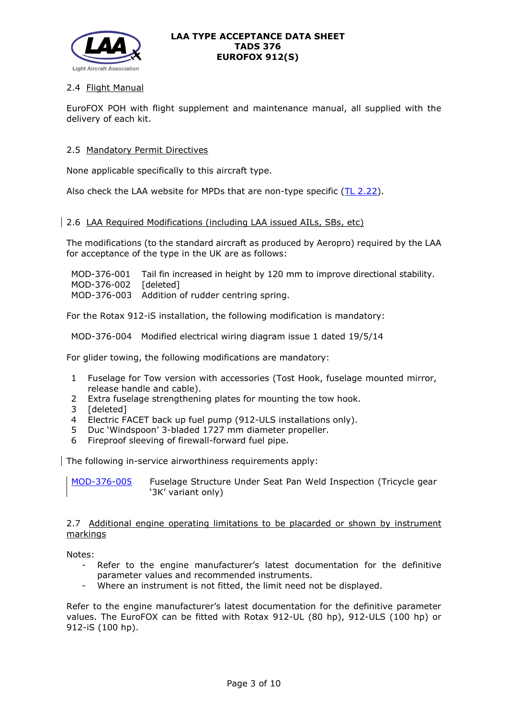

# 2.4 Flight Manual

EuroFOX POH with flight supplement and maintenance manual, all supplied with the delivery of each kit.

### 2.5 Mandatory Permit Directives

None applicable specifically to this aircraft type.

Also check the LAA website for MPDs that are non-type specific  $(TL 2.22)$ .

## 2.6 LAA Required Modifications (including LAA issued AILs, SBs, etc)

The modifications (to the standard aircraft as produced by Aeropro) required by the LAA for acceptance of the type in the UK are as follows:

MOD-376-001 Tail fin increased in height by 120 mm to improve directional stability. MOD-376-002 [deleted] MOD-376-003 Addition of rudder centring spring.

For the Rotax 912-iS installation, the following modification is mandatory:

MOD-376-004 Modified electrical wiring diagram issue 1 dated 19/5/14

For glider towing, the following modifications are mandatory:

- 1 Fuselage for Tow version with accessories (Tost Hook, fuselage mounted mirror, release handle and cable).
- 2 Extra fuselage strengthening plates for mounting the tow hook.
- 3 [deleted]
- 4 Electric FACET back up fuel pump (912-ULS installations only).
- 5 Duc 'Windspoon' 3-bladed 1727 mm diameter propeller.
- 6 Fireproof sleeving of firewall-forward fuel pipe.

The following in-service airworthiness requirements apply:

[MOD-376-005](http://www.lightaircraftassociation.co.uk/Airworthiness/Eurofox/376.pdf) Fuselage Structure Under Seat Pan Weld Inspection (Tricycle gear '3K' variant only)

2.7 Additional engine operating limitations to be placarded or shown by instrument markings

Notes:

- Refer to the engine manufacturer's latest documentation for the definitive parameter values and recommended instruments.
- Where an instrument is not fitted, the limit need not be displayed.

Refer to the engine manufacturer's latest documentation for the definitive parameter values. The EuroFOX can be fitted with Rotax 912-UL (80 hp), 912-ULS (100 hp) or 912-iS (100 hp).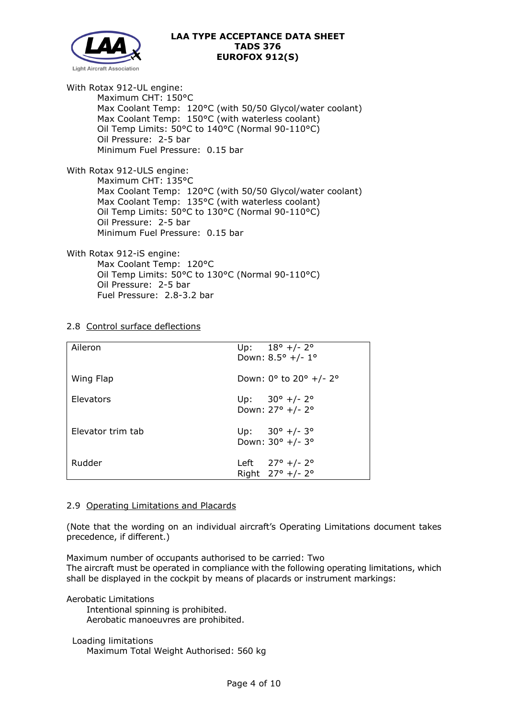

With Rotax 912-UL engine: Maximum CHT: 150°C Max Coolant Temp: 120°C (with 50/50 Glycol/water coolant) Max Coolant Temp: 150°C (with waterless coolant) Oil Temp Limits: 50°C to 140°C (Normal 90-110°C) Oil Pressure: 2-5 bar Minimum Fuel Pressure: 0.15 bar

With Rotax 912-ULS engine: Maximum CHT: 135°C Max Coolant Temp: 120°C (with 50/50 Glycol/water coolant) Max Coolant Temp: 135°C (with waterless coolant) Oil Temp Limits: 50°C to 130°C (Normal 90-110°C) Oil Pressure: 2-5 bar Minimum Fuel Pressure: 0.15 bar

With Rotax 912-iS engine: Max Coolant Temp: 120°C Oil Temp Limits: 50°C to 130°C (Normal 90-110°C) Oil Pressure: 2-5 bar Fuel Pressure: 2.8-3.2 bar

### 2.8 Control surface deflections

| Aileron           | Up: $18^{\circ}$ +/- 2°                           |
|-------------------|---------------------------------------------------|
|                   | Down: $8.5^{\circ}$ +/- 1°                        |
|                   |                                                   |
| Wing Flap         | Down: $0^{\circ}$ to $20^{\circ}$ +/- $2^{\circ}$ |
|                   |                                                   |
| Elevators         | Up: $30^{\circ}$ +/- 2°                           |
|                   | Down: 27° +/- 2°                                  |
|                   |                                                   |
| Elevator trim tab | Up: $30^{\circ}$ +/- $3^{\circ}$                  |
|                   | Down: 30° +/- 3°                                  |
|                   |                                                   |
| Rudder            | Left $27^{\circ}$ +/- 2°                          |
|                   | Right $27^{\circ}$ +/- 2°                         |

#### 2.9 Operating Limitations and Placards

(Note that the wording on an individual aircraft's Operating Limitations document takes precedence, if different.)

Maximum number of occupants authorised to be carried: Two The aircraft must be operated in compliance with the following operating limitations, which shall be displayed in the cockpit by means of placards or instrument markings:

Aerobatic Limitations

 Intentional spinning is prohibited. Aerobatic manoeuvres are prohibited.

 Loading limitations Maximum Total Weight Authorised: 560 kg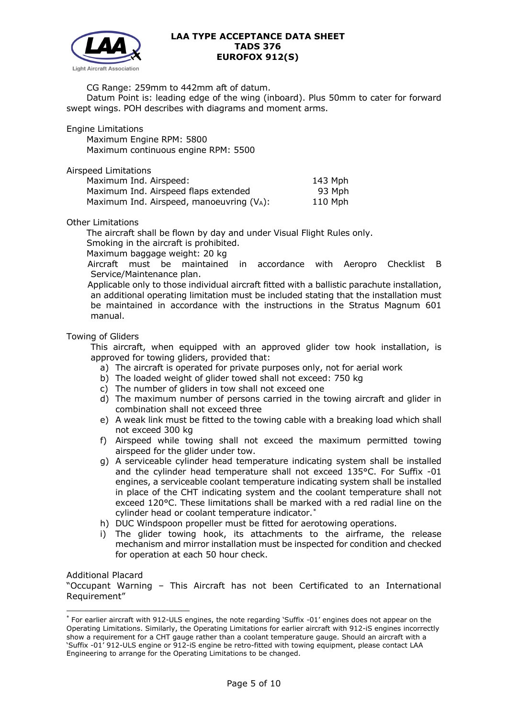

CG Range: 259mm to 442mm aft of datum.

 Datum Point is: leading edge of the wing (inboard). Plus 50mm to cater for forward swept wings. POH describes with diagrams and moment arms.

Engine Limitations

 Maximum Engine RPM: 5800 Maximum continuous engine RPM: 5500

Airspeed Limitations

| Maximum Ind. Airspeed:                   | 143 Mph |
|------------------------------------------|---------|
| Maximum Ind. Airspeed flaps extended     | 93 Mph  |
| Maximum Ind. Airspeed, manoeuvring (VA): | 110 Mph |

Other Limitations

The aircraft shall be flown by day and under Visual Flight Rules only.

Smoking in the aircraft is prohibited.

Maximum baggage weight: 20 kg

Aircraft must be maintained in accordance with Aeropro Checklist B Service/Maintenance plan.

Applicable only to those individual aircraft fitted with a ballistic parachute installation, an additional operating limitation must be included stating that the installation must be maintained in accordance with the instructions in the Stratus Magnum 601 manual.

### Towing of Gliders

This aircraft, when equipped with an approved glider tow hook installation, is approved for towing gliders, provided that:

- a) The aircraft is operated for private purposes only, not for aerial work
- b) The loaded weight of glider towed shall not exceed: 750 kg
- c) The number of gliders in tow shall not exceed one
- d) The maximum number of persons carried in the towing aircraft and glider in combination shall not exceed three
- e) A weak link must be fitted to the towing cable with a breaking load which shall not exceed 300 kg
- f) Airspeed while towing shall not exceed the maximum permitted towing airspeed for the glider under tow.
- g) A serviceable cylinder head temperature indicating system shall be installed and the cylinder head temperature shall not exceed 135°C. For Suffix -01 engines, a serviceable coolant temperature indicating system shall be installed in place of the CHT indicating system and the coolant temperature shall not exceed 120°C. These limitations shall be marked with a red radial line on the cylinder head or coolant temperature indicator.[\\*](#page-4-0)
- h) DUC Windspoon propeller must be fitted for aerotowing operations.
- i) The glider towing hook, its attachments to the airframe, the release mechanism and mirror installation must be inspected for condition and checked for operation at each 50 hour check.

Additional Placard

"Occupant Warning – This Aircraft has not been Certificated to an International Requirement"

<span id="page-4-0"></span><sup>\*</sup> For earlier aircraft with 912-ULS engines, the note regarding 'Suffix -01' engines does not appear on the Operating Limitations. Similarly, the Operating Limitations for earlier aircraft with 912-iS engines incorrectly show a requirement for a CHT gauge rather than a coolant temperature gauge. Should an aircraft with a 'Suffix -01' 912-ULS engine or 912-iS engine be retro-fitted with towing equipment, please contact LAA Engineering to arrange for the Operating Limitations to be changed.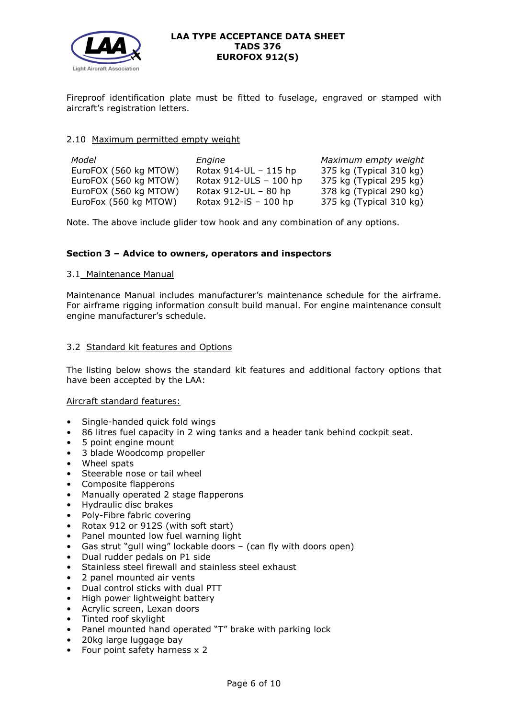

Fireproof identification plate must be fitted to fuselage, engraved or stamped with aircraft's registration letters.

### 2.10 Maximum permitted empty weight

| Model                 | Engine                   | Maximum empty weight    |
|-----------------------|--------------------------|-------------------------|
| EuroFOX (560 kg MTOW) | Rotax $914$ -UL – 115 hp | 375 kg (Typical 310 kg) |
| EuroFOX (560 kg MTOW) | Rotax 912-ULS - 100 hp   | 375 kg (Typical 295 kg) |
| EuroFOX (560 kg MTOW) | Rotax $912$ -UL – 80 hp  | 378 kg (Typical 290 kg) |
| EuroFox (560 kg MTOW) | Rotax $912-iS - 100$ hp  | 375 kg (Typical 310 kg) |

Note. The above include glider tow hook and any combination of any options.

## **Section 3 – Advice to owners, operators and inspectors**

### 3.1 Maintenance Manual

Maintenance Manual includes manufacturer's maintenance schedule for the airframe. For airframe rigging information consult build manual. For engine maintenance consult engine manufacturer's schedule.

### 3.2 Standard kit features and Options

The listing below shows the standard kit features and additional factory options that have been accepted by the LAA:

### Aircraft standard features:

- Single-handed quick fold wings
- 86 litres fuel capacity in 2 wing tanks and a header tank behind cockpit seat.
- 5 point engine mount
- 3 blade Woodcomp propeller
- Wheel spats
- Steerable nose or tail wheel
- Composite flapperons
- Manually operated 2 stage flapperons
- Hydraulic disc brakes
- Poly-Fibre fabric covering
- Rotax 912 or 912S (with soft start)
- Panel mounted low fuel warning light
- Gas strut "gull wing" lockable doors (can fly with doors open)
- Dual rudder pedals on P1 side
- Stainless steel firewall and stainless steel exhaust
- 2 panel mounted air vents
- Dual control sticks with dual PTT
- High power lightweight battery
- Acrylic screen, Lexan doors
- Tinted roof skylight
- Panel mounted hand operated "T" brake with parking lock
- 20kg large luggage bay
- Four point safety harness x 2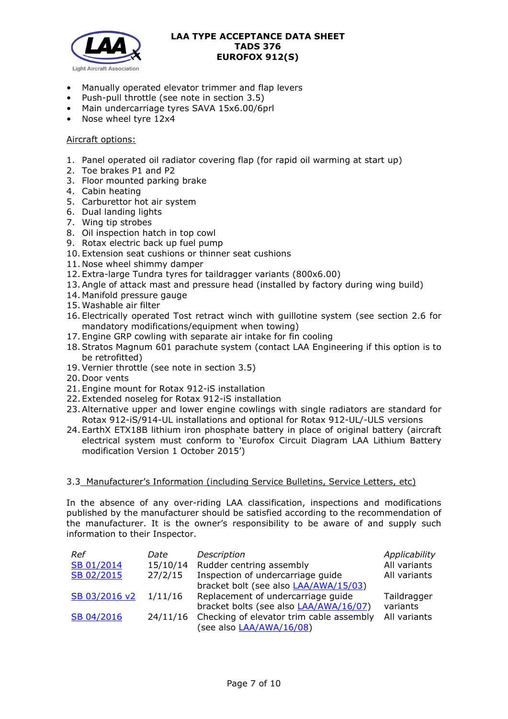

- Manually operated elevator trimmer and flap levers
- Push-pull throttle (see note in section 3.5)
- Main undercarriage tyres SAVA 15x6.00/6prl
- Nose wheel tyre 12x4

### Aircraft options:

- 1. Panel operated oil radiator covering flap (for rapid oil warming at start up)
- 2. Toe brakes P1 and P2
- 3. Floor mounted parking brake
- 4. Cabin heating
- 5. Carburettor hot air system
- 6. Dual landing lights
- 7. Wing tip strobes
- 8. Oil inspection hatch in top cowl
- 9. Rotax electric back up fuel pump
- 10. Extension seat cushions or thinner seat cushions
- 11. Nose wheel shimmy damper
- 12. Extra-large Tundra tyres for taildragger variants (800x6.00)
- 13.Angle of attack mast and pressure head (installed by factory during wing build)
- 14. Manifold pressure gauge
- 15. Washable air filter
- 16. Electrically operated Tost retract winch with guillotine system (see section 2.6 for mandatory modifications/equipment when towing)
- 17. Engine GRP cowling with separate air intake for fin cooling
- 18.Stratos Magnum 601 parachute system (contact LAA Engineering if this option is to be retrofitted)
- 19.Vernier throttle (see note in section 3.5)
- 20. Door vents
- 21. Engine mount for Rotax 912-iS installation
- 22. Extended noseleg for Rotax 912-iS installation
- 23.Alternative upper and lower engine cowlings with single radiators are standard for Rotax 912-iS/914-UL installations and optional for Rotax 912-UL/-ULS versions
- 24. EarthX ETX18B lithium iron phosphate battery in place of original battery (aircraft electrical system must conform to 'Eurofox Circuit Diagram LAA Lithium Battery modification Version 1 October 2015')

### 3.3 Manufacturer's Information (including Service Bulletins, Service Letters, etc)

In the absence of any over-riding LAA classification, inspections and modifications published by the manufacturer should be satisfied according to the recommendation of the manufacturer. It is the owner's responsibility to be aware of and supply such information to their Inspector.

| Ref           | Date     | Description                                       | Applicability |
|---------------|----------|---------------------------------------------------|---------------|
| SB 01/2014    | 15/10/14 | Rudder centring assembly                          | All variants  |
| SB 02/2015    | 27/2/15  | Inspection of undercarriage guide                 | All variants  |
|               |          | bracket bolt (see also LAA/AWA/15/03)             |               |
| SB 03/2016 v2 | 1/11/16  | Replacement of undercarriage guide                | Taildragger   |
|               |          | bracket bolts (see also LAA/AWA/16/07)            | variants      |
| SB 04/2016    |          | 24/11/16 Checking of elevator trim cable assembly | All variants  |
|               |          | (see also LAA/AWA/16/08)                          |               |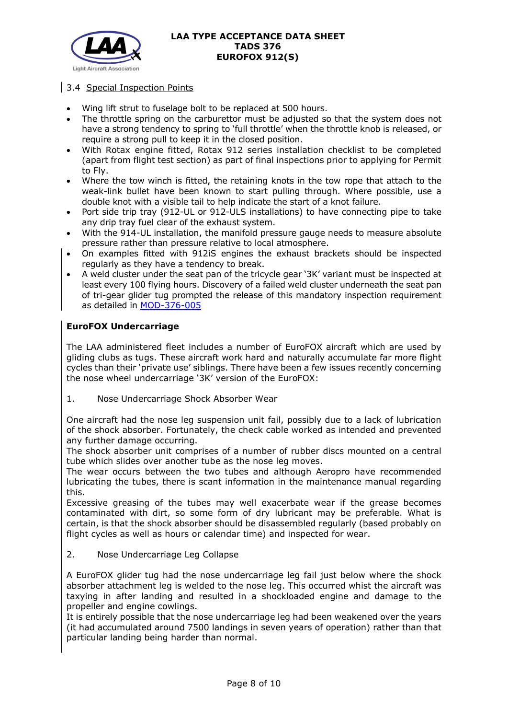

# 3.4 Special Inspection Points

- Wing lift strut to fuselage bolt to be replaced at 500 hours.
- The throttle spring on the carburettor must be adjusted so that the system does not have a strong tendency to spring to 'full throttle' when the throttle knob is released, or require a strong pull to keep it in the closed position.
- With Rotax engine fitted, Rotax 912 series installation checklist to be completed (apart from flight test section) as part of final inspections prior to applying for Permit to Fly.
- Where the tow winch is fitted, the retaining knots in the tow rope that attach to the weak-link bullet have been known to start pulling through. Where possible, use a double knot with a visible tail to help indicate the start of a knot failure.
- Port side trip tray (912-UL or 912-ULS installations) to have connecting pipe to take any drip tray fuel clear of the exhaust system.
- With the 914-UL installation, the manifold pressure gauge needs to measure absolute pressure rather than pressure relative to local atmosphere.
- On examples fitted with 912iS engines the exhaust brackets should be inspected regularly as they have a tendency to break.
- A weld cluster under the seat pan of the tricycle gear '3K' variant must be inspected at least every 100 flying hours. Discovery of a failed weld cluster underneath the seat pan of tri-gear glider tug prompted the release of this mandatory inspection requirement as detailed in [MOD-376-005](http://www.lightaircraftassociation.co.uk/Airworthiness/Eurofox/376.pdf)

## **EuroFOX Undercarriage**

The LAA administered fleet includes a number of EuroFOX aircraft which are used by gliding clubs as tugs. These aircraft work hard and naturally accumulate far more flight cycles than their 'private use' siblings. There have been a few issues recently concerning the nose wheel undercarriage '3K' version of the EuroFOX:

1. Nose Undercarriage Shock Absorber Wear

One aircraft had the nose leg suspension unit fail, possibly due to a lack of lubrication of the shock absorber. Fortunately, the check cable worked as intended and prevented any further damage occurring.

The shock absorber unit comprises of a number of rubber discs mounted on a central tube which slides over another tube as the nose leg moves.

The wear occurs between the two tubes and although Aeropro have recommended lubricating the tubes, there is scant information in the maintenance manual regarding this.

Excessive greasing of the tubes may well exacerbate wear if the grease becomes contaminated with dirt, so some form of dry lubricant may be preferable. What is certain, is that the shock absorber should be disassembled regularly (based probably on flight cycles as well as hours or calendar time) and inspected for wear.

### 2. Nose Undercarriage Leg Collapse

A EuroFOX glider tug had the nose undercarriage leg fail just below where the shock absorber attachment leg is welded to the nose leg. This occurred whist the aircraft was taxying in after landing and resulted in a shockloaded engine and damage to the propeller and engine cowlings.

It is entirely possible that the nose undercarriage leg had been weakened over the years (it had accumulated around 7500 landings in seven years of operation) rather than that particular landing being harder than normal.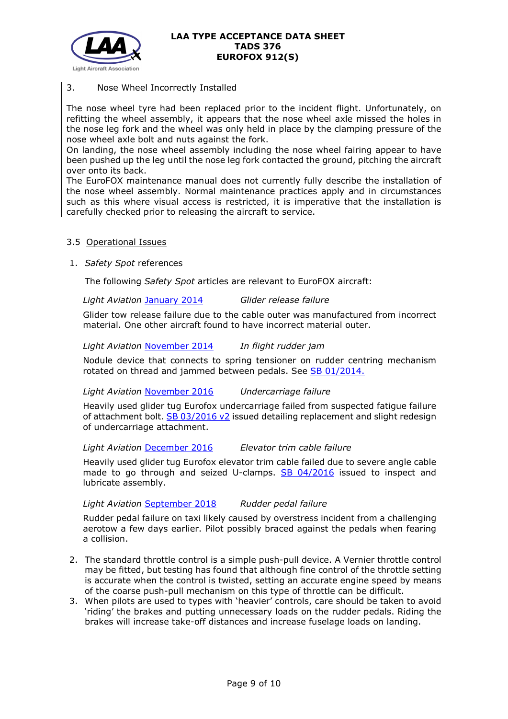

# 3. Nose Wheel Incorrectly Installed

The nose wheel tyre had been replaced prior to the incident flight. Unfortunately, on refitting the wheel assembly, it appears that the nose wheel axle missed the holes in the nose leg fork and the wheel was only held in place by the clamping pressure of the nose wheel axle bolt and nuts against the fork.

On landing, the nose wheel assembly including the nose wheel fairing appear to have been pushed up the leg until the nose leg fork contacted the ground, pitching the aircraft over onto its back.

The EuroFOX maintenance manual does not currently fully describe the installation of the nose wheel assembly. Normal maintenance practices apply and in circumstances such as this where visual access is restricted, it is imperative that the installation is carefully checked prior to releasing the aircraft to service.

## 3.5 Operational Issues

1. *Safety Spot* references

The following *Safety Spot* articles are relevant to EuroFOX aircraft:

*Light Aviation* [January 2014](http://www.lightaircraftassociation.co.uk/2014/Mag/Jan/safety%20spot.pdf) *Glider release failure*

Glider tow release failure due to the cable outer was manufactured from incorrect material. One other aircraft found to have incorrect material outer.

### *Light Aviation* [November 2014](http://www.lightaircraftassociation.co.uk/2014/Mag/Nov/SafetySpot.pdf) *In flight rudder jam*

Nodule device that connects to spring tensioner on rudder centring mechanism rotated on thread and jammed between pedals. See [SB 01/2014.](http://www.lightaircraftassociation.co.uk/engineering/TADs/376/Eurofox%20SB%201%202014%20-%20Issue%201.pdf)

### *Light Aviation* [November 2016](http://www.lightaircraftassociation.co.uk/2016/Magazine/Nov/Safety%20Spot.pdf) *Undercarriage failure*

Heavily used glider tug Eurofox undercarriage failed from suspected fatigue failure of attachment bolt. [SB 03/2016 v2](https://lightaircraftassociation.co.uk/Engineering/TADS/376/SB03-2016.pdf) issued detailing replacement and slight redesign of undercarriage attachment.

*Light Aviation* [December 2016](http://www.lightaircraftassociation.co.uk/2016/Magazine/Dec/Safety%20Spot.pdf) *Elevator trim cable failure*

Heavily used glider tug Eurofox elevator trim cable failed due to severe angle cable made to go through and seized U-clamps. [SB 04/2016](https://lightaircraftassociation.co.uk/Engineering/TADS/376/Elevator%20trim%20cable%20SB%204%202016%20LAA.pdf) issued to inspect and lubricate assembly.

*Light Aviation* [September 2018](http://www.lightaircraftassociation.co.uk/2018/Magazine/Sep/Saf_spot.pdf) *Rudder pedal failure*

Rudder pedal failure on taxi likely caused by overstress incident from a challenging aerotow a few days earlier. Pilot possibly braced against the pedals when fearing a collision.

- 2. The standard throttle control is a simple push-pull device. A Vernier throttle control may be fitted, but testing has found that although fine control of the throttle setting is accurate when the control is twisted, setting an accurate engine speed by means of the coarse push-pull mechanism on this type of throttle can be difficult.
- 3. When pilots are used to types with 'heavier' controls, care should be taken to avoid 'riding' the brakes and putting unnecessary loads on the rudder pedals. Riding the brakes will increase take-off distances and increase fuselage loads on landing.